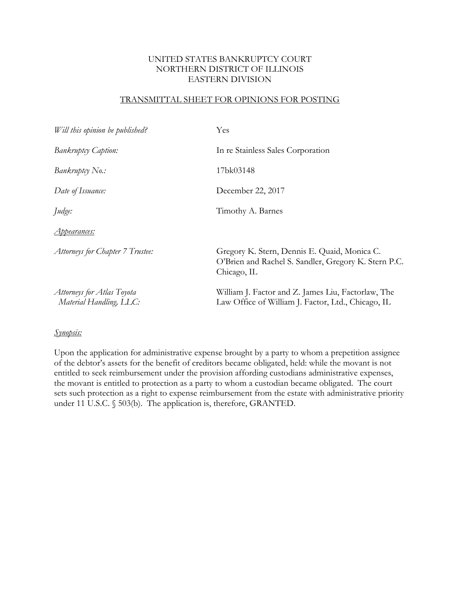# TRANSMITTAL SHEET FOR OPINIONS FOR POSTING

| Will this opinion be published?                       | Yes                                                                                                                 |
|-------------------------------------------------------|---------------------------------------------------------------------------------------------------------------------|
| <b>Bankruptcy Caption:</b>                            | In re Stainless Sales Corporation                                                                                   |
| Bankruptcy No.:                                       | 17bk03148                                                                                                           |
| Date of Issuance:                                     | December 22, 2017                                                                                                   |
| Judge:                                                | Timothy A. Barnes                                                                                                   |
| <u>Appearances:</u>                                   |                                                                                                                     |
| Attorneys for Chapter 7 Trustee:                      | Gregory K. Stern, Dennis E. Quaid, Monica C.<br>O'Brien and Rachel S. Sandler, Gregory K. Stern P.C.<br>Chicago, IL |
| Attorneys for Atlas Toyota<br>Material Handling, LLC: | William J. Factor and Z. James Liu, Factorlaw, The<br>Law Office of William J. Factor, Ltd., Chicago, IL            |

## *Synopsis:*

Upon the application for administrative expense brought by a party to whom a prepetition assignee of the debtor's assets for the benefit of creditors became obligated, held: while the movant is not entitled to seek reimbursement under the provision affording custodians administrative expenses, the movant is entitled to protection as a party to whom a custodian became obligated. The court sets such protection as a right to expense reimbursement from the estate with administrative priority under 11 U.S.C. § 503(b). The application is, therefore, GRANTED.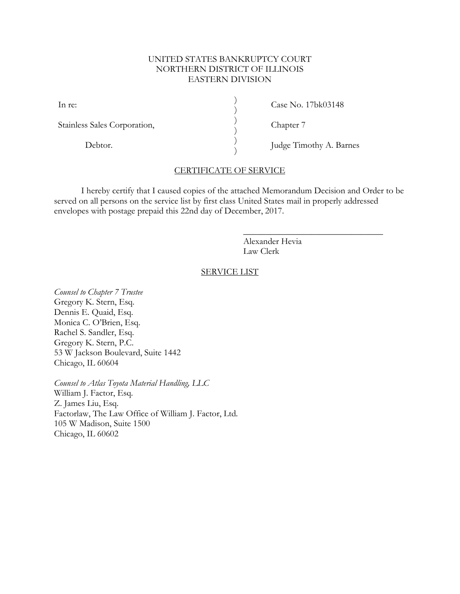) ) ) ) ) )

In re:

Stainless Sales Corporation,

Debtor.

Case No. 17bk03148

Chapter 7

Judge Timothy A. Barnes

 $\overline{\phantom{a}}$  , where  $\overline{\phantom{a}}$  , where  $\overline{\phantom{a}}$  , where  $\overline{\phantom{a}}$ 

# CERTIFICATE OF SERVICE

I hereby certify that I caused copies of the attached Memorandum Decision and Order to be served on all persons on the service list by first class United States mail in properly addressed envelopes with postage prepaid this 22nd day of December, 2017.

> Alexander Hevia Law Clerk

#### SERVICE LIST

*Counsel to Chapter 7 Trustee* Gregory K. Stern, Esq. Dennis E. Quaid, Esq. Monica C. O'Brien, Esq. Rachel S. Sandler, Esq. Gregory K. Stern, P.C. 53 W Jackson Boulevard, Suite 1442 Chicago, IL 60604

*Counsel to Atlas Toyota Material Handling, LLC* William J. Factor, Esq. Z. James Liu, Esq. Factorlaw, The Law Office of William J. Factor, Ltd. 105 W Madison, Suite 1500 Chicago, IL 60602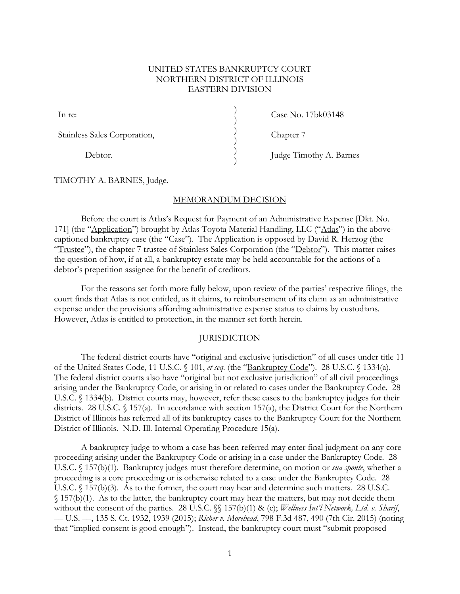) ) ) ) ) )

Stainless Sales Corporation,

Debtor.

Case No. 17bk03148

Chapter 7

Judge Timothy A. Barnes

TIMOTHY A. BARNES, Judge.

## MEMORANDUM DECISION

Before the court is Atlas's Request for Payment of an Administrative Expense [Dkt. No. 171] (the "Application") brought by Atlas Toyota Material Handling, LLC ("Atlas") in the abovecaptioned bankruptcy case (the "Case"). The Application is opposed by David R. Herzog (the "Trustee"), the chapter 7 trustee of Stainless Sales Corporation (the "Debtor"). This matter raises the question of how, if at all, a bankruptcy estate may be held accountable for the actions of a debtor's prepetition assignee for the benefit of creditors.

For the reasons set forth more fully below, upon review of the parties' respective filings, the court finds that Atlas is not entitled, as it claims, to reimbursement of its claim as an administrative expense under the provisions affording administrative expense status to claims by custodians. However, Atlas is entitled to protection, in the manner set forth herein.

# **JURISDICTION**

The federal district courts have "original and exclusive jurisdiction" of all cases under title 11 of the United States Code, 11 U.S.C. § 101, *et seq.* (the "Bankruptcy Code"). 28 U.S.C. § 1334(a). The federal district courts also have "original but not exclusive jurisdiction" of all civil proceedings arising under the Bankruptcy Code, or arising in or related to cases under the Bankruptcy Code. 28 U.S.C. § 1334(b). District courts may, however, refer these cases to the bankruptcy judges for their districts. 28 U.S.C. § 157(a). In accordance with section 157(a), the District Court for the Northern District of Illinois has referred all of its bankruptcy cases to the Bankruptcy Court for the Northern District of Illinois. N.D. Ill. Internal Operating Procedure 15(a).

A bankruptcy judge to whom a case has been referred may enter final judgment on any core proceeding arising under the Bankruptcy Code or arising in a case under the Bankruptcy Code. 28 U.S.C. § 157(b)(1). Bankruptcy judges must therefore determine, on motion or *sua sponte*, whether a proceeding is a core proceeding or is otherwise related to a case under the Bankruptcy Code. 28 U.S.C. § 157(b)(3). As to the former, the court may hear and determine such matters. 28 U.S.C. § 157(b)(1). As to the latter, the bankruptcy court may hear the matters, but may not decide them without the consent of the parties. 28 U.S.C. §§ 157(b)(1) & (c); *Wellness Int'l Network, Ltd. v. Sharif*, –– U.S. ––, 135 S. Ct. 1932, 1939 (2015); *Richer v. Morehead*, 798 F.3d 487, 490 (7th Cir. 2015) (noting that "implied consent is good enough"). Instead, the bankruptcy court must "submit proposed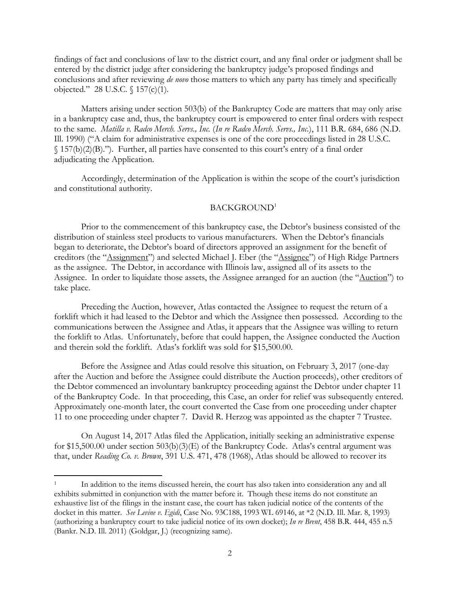findings of fact and conclusions of law to the district court, and any final order or judgment shall be entered by the district judge after considering the bankruptcy judge's proposed findings and conclusions and after reviewing *de novo* those matters to which any party has timely and specifically objected." 28 U.S.C. § 157(c)(1).

Matters arising under section 503(b) of the Bankruptcy Code are matters that may only arise in a bankruptcy case and, thus, the bankruptcy court is empowered to enter final orders with respect to the same. *Matilla v. Radco Merch. Servs., Inc.* (*In re Radco Merch. Servs., Inc.*), 111 B.R. 684, 686 (N.D. Ill. 1990) ("A claim for administrative expenses is one of the core proceedings listed in 28 U.S.C. § 157(b)(2)(B)."). Further, all parties have consented to this court's entry of a final order adjudicating the Application.

Accordingly, determination of the Application is within the scope of the court's jurisdiction and constitutional authority.

#### BACKGROUND<sup>1</sup>

Prior to the commencement of this bankruptcy case, the Debtor's business consisted of the distribution of stainless steel products to various manufacturers. When the Debtor's financials began to deteriorate, the Debtor's board of directors approved an assignment for the benefit of creditors (the "Assignment") and selected Michael J. Eber (the "Assignee") of High Ridge Partners as the assignee. The Debtor, in accordance with Illinois law, assigned all of its assets to the Assignee. In order to liquidate those assets, the Assignee arranged for an auction (the "Auction") to take place.

Preceding the Auction, however, Atlas contacted the Assignee to request the return of a forklift which it had leased to the Debtor and which the Assignee then possessed. According to the communications between the Assignee and Atlas, it appears that the Assignee was willing to return the forklift to Atlas. Unfortunately, before that could happen, the Assignee conducted the Auction and therein sold the forklift. Atlas's forklift was sold for \$15,500.00.

Before the Assignee and Atlas could resolve this situation, on February 3, 2017 (one-day after the Auction and before the Assignee could distribute the Auction proceeds), other creditors of the Debtor commenced an involuntary bankruptcy proceeding against the Debtor under chapter 11 of the Bankruptcy Code. In that proceeding, this Case, an order for relief was subsequently entered. Approximately one-month later, the court converted the Case from one proceeding under chapter 11 to one proceeding under chapter 7. David R. Herzog was appointed as the chapter 7 Trustee.

On August 14, 2017 Atlas filed the Application, initially seeking an administrative expense for \$15,500.00 under section 503(b)(3)(E) of the Bankruptcy Code. Atlas's central argument was that, under *Reading Co. v. Brown*, 391 U.S. 471, 478 (1968), Atlas should be allowed to recover its

 $\overline{a}$ 

<sup>1</sup> In addition to the items discussed herein, the court has also taken into consideration any and all exhibits submitted in conjunction with the matter before it. Though these items do not constitute an exhaustive list of the filings in the instant case, the court has taken judicial notice of the contents of the docket in this matter. *See Levine v. Egidi*, Case No. 93C188, 1993 WL 69146, at \*2 (N.D. Ill. Mar. 8, 1993) (authorizing a bankruptcy court to take judicial notice of its own docket); *In re Brent*, 458 B.R. 444, 455 n.5 (Bankr. N.D. Ill. 2011) (Goldgar, J.) (recognizing same).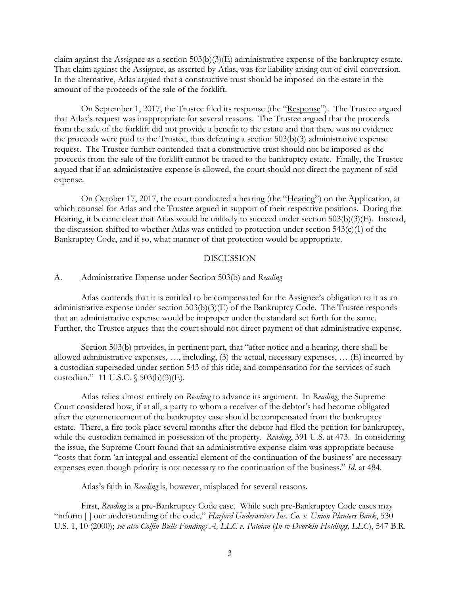claim against the Assignee as a section 503(b)(3)(E) administrative expense of the bankruptcy estate. That claim against the Assignee, as asserted by Atlas, was for liability arising out of civil conversion. In the alternative, Atlas argued that a constructive trust should be imposed on the estate in the amount of the proceeds of the sale of the forklift.

On September 1, 2017, the Trustee filed its response (the "Response"). The Trustee argued that Atlas's request was inappropriate for several reasons. The Trustee argued that the proceeds from the sale of the forklift did not provide a benefit to the estate and that there was no evidence the proceeds were paid to the Trustee, thus defeating a section 503(b)(3) administrative expense request. The Trustee further contended that a constructive trust should not be imposed as the proceeds from the sale of the forklift cannot be traced to the bankruptcy estate. Finally, the Trustee argued that if an administrative expense is allowed, the court should not direct the payment of said expense.

On October 17, 2017, the court conducted a hearing (the "Hearing") on the Application, at which counsel for Atlas and the Trustee argued in support of their respective positions. During the Hearing, it became clear that Atlas would be unlikely to succeed under section 503(b)(3)(E). Instead, the discussion shifted to whether Atlas was entitled to protection under section 543(c)(1) of the Bankruptcy Code, and if so, what manner of that protection would be appropriate.

## DISCUSSION

#### A. Administrative Expense under Section 503(b) and *Reading*

Atlas contends that it is entitled to be compensated for the Assignee's obligation to it as an administrative expense under section 503(b)(3)(E) of the Bankruptcy Code. The Trustee responds that an administrative expense would be improper under the standard set forth for the same. Further, the Trustee argues that the court should not direct payment of that administrative expense.

Section 503(b) provides, in pertinent part, that "after notice and a hearing, there shall be allowed administrative expenses, …, including, (3) the actual, necessary expenses, … (E) incurred by a custodian superseded under section 543 of this title, and compensation for the services of such custodian." 11 U.S.C. § 503(b)(3)(E).

Atlas relies almost entirely on *Reading* to advance its argument. In *Reading*, the Supreme Court considered how, if at all, a party to whom a receiver of the debtor's had become obligated after the commencement of the bankruptcy case should be compensated from the bankruptcy estate. There, a fire took place several months after the debtor had filed the petition for bankruptcy, while the custodian remained in possession of the property. *Reading*, 391 U.S. at 473. In considering the issue, the Supreme Court found that an administrative expense claim was appropriate because "costs that form 'an integral and essential element of the continuation of the business' are necessary expenses even though priority is not necessary to the continuation of the business." *Id*. at 484.

Atlas's faith in *Reading* is, however, misplaced for several reasons.

First, *Reading* is a pre-Bankruptcy Code case. While such pre-Bankruptcy Code cases may "inform [ ] our understanding of the code," *Harford Underwriters Ins. Co. v. Union Planters Bank*, 530 U.S. 1, 10 (2000); *see also Colfin Bulls Fundings A, LLC v. Paloian* (*In re Dvorkin Holdings, LLC*), 547 B.R.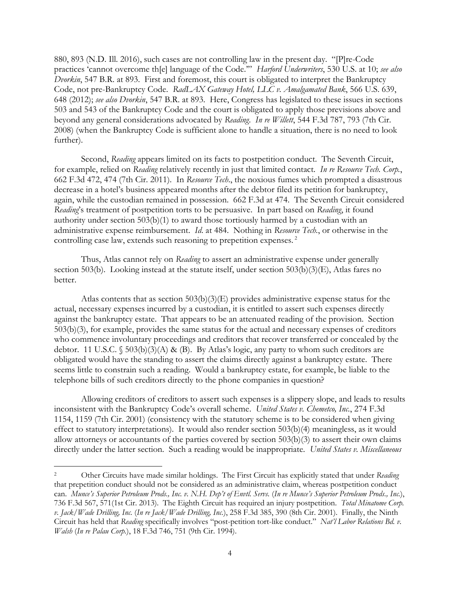880, 893 (N.D. Ill. 2016), such cases are not controlling law in the present day. "[P]re-Code practices 'cannot overcome th[e] language of the Code.'" *Harford Underwriters*, 530 U.S. at 10; *see also Dvorkin*, 547 B.R. at 893. First and foremost, this court is obligated to interpret the Bankruptcy Code, not pre-Bankruptcy Code. *RadLAX Gateway Hotel, LLC v. Amalgamated Bank*, 566 U.S. 639, 648 (2012); *see also Dvorkin*, 547 B.R. at 893. Here, Congress has legislated to these issues in sections 503 and 543 of the Bankruptcy Code and the court is obligated to apply those previsions above and beyond any general considerations advocated by *Reading*. *In re Willett*, 544 F.3d 787, 793 (7th Cir. 2008) (when the Bankruptcy Code is sufficient alone to handle a situation, there is no need to look further).

Second, *Reading* appears limited on its facts to postpetition conduct. The Seventh Circuit, for example, relied on *Reading* relatively recently in just that limited contact. *In re Resource Tech. Corp.*, 662 F.3d 472, 474 (7th Cir. 2011). In *Resource Tech*., the noxious fumes which prompted a disastrous decrease in a hotel's business appeared months after the debtor filed its petition for bankruptcy, again, while the custodian remained in possession. 662 F.3d at 474. The Seventh Circuit considered *Reading*'s treatment of postpetition torts to be persuasive. In part based on *Reading*, it found authority under section 503(b)(1) to award those tortiously harmed by a custodian with an administrative expense reimbursement. *Id*. at 484. Nothing in *Resource Tech.*, or otherwise in the controlling case law, extends such reasoning to prepetition expenses. <sup>2</sup>

Thus, Atlas cannot rely on *Reading* to assert an administrative expense under generally section 503(b). Looking instead at the statute itself, under section 503(b)(3)(E), Atlas fares no better.

Atlas contents that as section  $503(b)(3)(E)$  provides administrative expense status for the actual, necessary expenses incurred by a custodian, it is entitled to assert such expenses directly against the bankruptcy estate. That appears to be an attenuated reading of the provision. Section 503(b)(3), for example, provides the same status for the actual and necessary expenses of creditors who commence involuntary proceedings and creditors that recover transferred or concealed by the debtor. 11 U.S.C.  $\$503(b)(3)(A) \& (B)$ . By Atlas's logic, any party to whom such creditors are obligated would have the standing to assert the claims directly against a bankruptcy estate. There seems little to constrain such a reading. Would a bankruptcy estate, for example, be liable to the telephone bills of such creditors directly to the phone companies in question?

Allowing creditors of creditors to assert such expenses is a slippery slope, and leads to results inconsistent with the Bankruptcy Code's overall scheme. *United States v. Chemetco, Inc.*, 274 F.3d 1154, 1159 (7th Cir. 2001) (consistency with the statutory scheme is to be considered when giving effect to statutory interpretations). It would also render section 503(b)(4) meaningless, as it would allow attorneys or accountants of the parties covered by section 503(b)(3) to assert their own claims directly under the latter section. Such a reading would be inappropriate. *United States v. Miscellaneous* 

 $\overline{a}$ 

<sup>2</sup> Other Circuits have made similar holdings. The First Circuit has explicitly stated that under *Reading* that prepetition conduct should not be considered as an administrative claim, whereas postpetition conduct can. *Munce's Superior Petroleum Prods., Inc. v. N.H. Dep't of Envtl. Servs.* (*In re Munce's Superior Petroleum Prods., Inc.*), 736 F.3d 567, 571(1st Cir. 2013). The Eighth Circuit has required an injury postpetition. *Total Minatome Corp. v. Jack/Wade Drilling, Inc.* (*In re Jack/Wade Drilling, Inc.*), 258 F.3d 385, 390 (8th Cir. 2001). Finally, the Ninth Circuit has held that *Reading* specifically involves "post-petition tort-like conduct." *Nat'l Labor Relations Bd. v. Walsh* (*In re Palau Corp.*), 18 F.3d 746, 751 (9th Cir. 1994).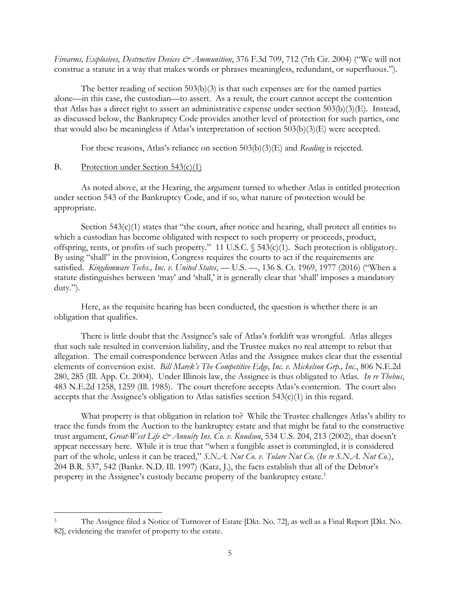*Firearms, Explosives, Destructive Devices & Ammunition*, 376 F.3d 709, 712 (7th Cir. 2004) ("We will not construe a statute in a way that makes words or phrases meaningless, redundant, or superfluous.").

The better reading of section 503(b)(3) is that such expenses are for the named parties alone—in this case, the custodian—to assert. As a result, the court cannot accept the contention that Atlas has a direct right to assert an administrative expense under section 503(b)(3)(E). Instead, as discussed below, the Bankruptcy Code provides another level of protection for such parties, one that would also be meaningless if Atlas's interpretation of section 503(b)(3)(E) were accepted.

For these reasons, Atlas's reliance on section 503(b)(3)(E) and *Reading* is rejected*.*

#### B. Protection under Section 543(c)(1)

 $\overline{a}$ 

As noted above, at the Hearing, the argument turned to whether Atlas is entitled protection under section 543 of the Bankruptcy Code, and if so, what nature of protection would be appropriate.

Section 543(c)(1) states that "the court, after notice and hearing, shall protect all entities to which a custodian has become obligated with respect to such property or proceeds, product, offspring, rents, or profits of such property." 11 U.S.C. § 543(c)(1). Such protection is obligatory. By using "shall" in the provision, Congress requires the courts to act if the requirements are satisfied. *Kingdomware Techs., Inc. v. United States*, –– U.S. ––, 136 S. Ct. 1969, 1977 (2016) ("When a statute distinguishes between 'may' and 'shall,' it is generally clear that 'shall' imposes a mandatory duty.").

Here, as the requisite hearing has been conducted, the question is whether there is an obligation that qualifies.

There is little doubt that the Assignee's sale of Atlas's forklift was wrongful. Atlas alleges that such sale resulted in conversion liability, and the Trustee makes no real attempt to rebut that allegation. The email correspondence between Atlas and the Assignee makes clear that the essential elements of conversion exist. *Bill Marek's The Competitive Edge, Inc. v. Mickelson Grp., Inc.*, 806 N.E.2d 280, 285 (Ill. App. Ct. 2004). Under Illinois law, the Assignee is thus obligated to Atlas. *In re Thebus*, 483 N.E.2d 1258, 1259 (Ill. 1985). The court therefore accepts Atlas's contention. The court also accepts that the Assignee's obligation to Atlas satisfies section 543(c)(1) in this regard.

What property is that obligation in relation to? While the Trustee challenges Atlas's ability to trace the funds from the Auction to the bankruptcy estate and that might be fatal to the constructive trust argument, *Great-West Life & Annuity Ins. Co. v. Knudson*, 534 U.S. 204, 213 (2002), that doesn't appear necessary here. While it is true that "when a fungible asset is commingled, it is considered part of the whole, unless it can be traced," *S.N.A. Nut Co. v. Tulare Nut Co.* (*In re S.N.A. Nut Co.*), 204 B.R. 537, 542 (Bankr. N.D. Ill. 1997) (Katz, J.), the facts establish that all of the Debtor's property in the Assignee's custody became property of the bankruptcy estate.<sup>3</sup>

The Assignee filed a Notice of Turnover of Estate [Dkt. No. 72], as well as a Final Report [Dkt. No. 82], evidencing the transfer of property to the estate.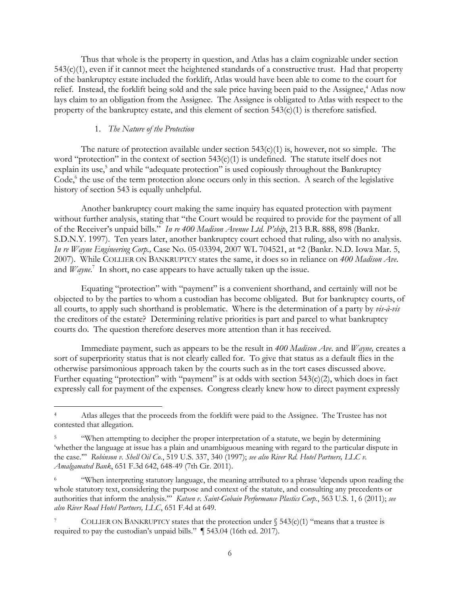Thus that whole is the property in question, and Atlas has a claim cognizable under section 543(c)(1), even if it cannot meet the heightened standards of a constructive trust. Had that property of the bankruptcy estate included the forklift, Atlas would have been able to come to the court for relief. Instead, the forklift being sold and the sale price having been paid to the Assignee,<sup>4</sup> Atlas now lays claim to an obligation from the Assignee. The Assignee is obligated to Atlas with respect to the property of the bankruptcy estate, and this element of section 543(c)(1) is therefore satisfied.

#### 1. *The Nature of the Protection*

 $\overline{a}$ 

The nature of protection available under section  $543(c)(1)$  is, however, not so simple. The word "protection" in the context of section 543(c)(1) is undefined. The statute itself does not explain its use,<sup>5</sup> and while "adequate protection" is used copiously throughout the Bankruptcy Code, 6 the use of the term protection alone occurs only in this section. A search of the legislative history of section 543 is equally unhelpful.

Another bankruptcy court making the same inquiry has equated protection with payment without further analysis, stating that "the Court would be required to provide for the payment of all of the Receiver's unpaid bills." *In re 400 Madison Avenue Ltd. P'ship*, 213 B.R. 888, 898 (Bankr. S.D.N.Y. 1997). Ten years later, another bankruptcy court echoed that ruling, also with no analysis. *In re Wayne Engineering Corp.,* Case No. 05-03394, 2007 WL 704521, at \*2 (Bankr. N.D. Iowa Mar. 5, 2007). While COLLIER ON BANKRUPTCY states the same, it does so in reliance on *400 Madison Ave*. and *Wayne*.<sup>7</sup> In short, no case appears to have actually taken up the issue.

Equating "protection" with "payment" is a convenient shorthand, and certainly will not be objected to by the parties to whom a custodian has become obligated. But for bankruptcy courts, of all courts, to apply such shorthand is problematic. Where is the determination of a party by *vis-à-vis* the creditors of the estate? Determining relative priorities is part and parcel to what bankruptcy courts do. The question therefore deserves more attention than it has received.

Immediate payment, such as appears to be the result in *400 Madison Ave*. and *Wayne,* creates a sort of superpriority status that is not clearly called for. To give that status as a default flies in the otherwise parsimonious approach taken by the courts such as in the tort cases discussed above. Further equating "protection" with "payment" is at odds with section  $543(c)(2)$ , which does in fact expressly call for payment of the expenses. Congress clearly knew how to direct payment expressly

<sup>4</sup> Atlas alleges that the proceeds from the forklift were paid to the Assignee. The Trustee has not contested that allegation.

<sup>5</sup> "When attempting to decipher the proper interpretation of a statute, we begin by determining 'whether the language at issue has a plain and unambiguous meaning with regard to the particular dispute in the case.'" *Robinson v. Shell Oil Co.*, 519 U.S. 337, 340 (1997); *see also River Rd. Hotel Partners, LLC v. Amalgamated Bank*, 651 F.3d 642, 648-49 (7th Cir. 2011).

<sup>6</sup> "When interpreting statutory language, the meaning attributed to a phrase 'depends upon reading the whole statutory text, considering the purpose and context of the statute, and consulting any precedents or authorities that inform the analysis.'" *Katsen v. Saint-Gobain Performance Plastics Corp.*, 563 U.S. 1, 6 (2011); *see also River Road Hotel Partners, LLC*, 651 F.4d at 649.

COLLIER ON BANKRUPTCY states that the protection under  $\S$  543(c)(1) "means that a trustee is required to pay the custodian's unpaid bills." ¶ 543.04 (16th ed. 2017).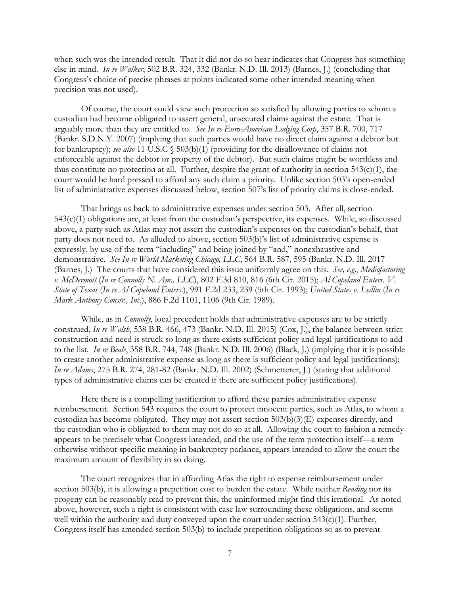when such was the intended result. That it did not do so hear indicates that Congress has something else in mind. *In re Walker*, 502 B.R. 324, 332 (Bankr. N.D. Ill. 2013) (Barnes, J.) (concluding that Congress's choice of precise phrases at points indicated some other intended meaning when precision was not used).

Of course, the court could view such protection so satisfied by allowing parties to whom a custodian had become obligated to assert general, unsecured claims against the estate. That is arguably more than they are entitled to. *See In re Euro-American Lodging Corp*, 357 B.R. 700, 717 (Bankr. S.D.N.Y. 2007) (implying that such parties would have no direct claim against a debtor but for bankruptcy); *see also* 11 U.S.C § 503(b)(1) (providing for the disallowance of claims not enforceable against the debtor or property of the debtor). But such claims might be worthless and thus constitute no protection at all. Further, despite the grant of authority in section 543(c)(1), the court would be hard pressed to afford any such claim a priority. Unlike section 503's open-ended list of administrative expenses discussed below, section 507's list of priority claims is close-ended.

That brings us back to administrative expenses under section 503. After all, section 543(c)(1) obligations are, at least from the custodian's perspective, its expenses. While, so discussed above, a party such as Atlas may not assert the custodian's expenses on the custodian's behalf, that party does not need to. As alluded to above, section 503(b)'s list of administrative expense is expressly, by use of the term "including" and being joined by "and," nonexhaustive and demonstrative. *See In re World Marketing Chicago, LLC*, 564 B.R. 587, 595 (Bankr. N.D. Ill. 2017 (Barnes, J.) The courts that have considered this issue uniformly agree on this. *See, e.g*., *Mediofactoring v. McDermott* (*In re Connolly N. Am., LLC*), 802 F.3d 810, 816 (6th Cir. 2015); *Al Copeland Enters. V. State of Texas* (*In re Al Copeland Enters*.), 991 F.2d 233, 239 (5th Cir. 1993); *United States v. Ledlin* (*In re Mark Anthony Constr., Inc.*), 886 F.2d 1101, 1106 (9th Cir. 1989).

While, as in *Connolly*, local precedent holds that administrative expenses are to be strictly construed, *In re Walsh*, 538 B.R. 466, 473 (Bankr. N.D. Ill. 2015) (Cox, J.), the balance between strict construction and need is struck so long as there exists sufficient policy and legal justifications to add to the list. *In re Beale*, 358 B.R. 744, 748 (Bankr. N.D. Ill. 2006) (Black, J.) (implying that it is possible to create another administrative expense as long as there is sufficient policy and legal justifications); *In re Adams*, 275 B.R. 274, 281-82 (Bankr. N.D. Ill. 2002) (Schmetterer, J.) (stating that additional types of administrative claims can be created if there are sufficient policy justifications).

Here there is a compelling justification to afford these parties administrative expense reimbursement. Section 543 requires the court to protect innocent parties, such as Atlas, to whom a custodian has become obligated. They may not assert section 503(b)(3)(E) expenses directly, and the custodian who is obligated to them may not do so at all. Allowing the court to fashion a remedy appears to be precisely what Congress intended, and the use of the term protection itself—a term otherwise without specific meaning in bankruptcy parlance, appears intended to allow the court the maximum amount of flexibility in so doing.

The court recognizes that in affording Atlas the right to expense reimbursement under section 503(b), it is allowing a prepetition cost to burden the estate. While neither *Reading* nor its progeny can be reasonably read to prevent this, the uninformed might find this irrational. As noted above, however, such a right is consistent with case law surrounding these obligations, and seems well within the authority and duty conveyed upon the court under section 543(c)(1). Further, Congress itself has amended section 503(b) to include prepetition obligations so as to prevent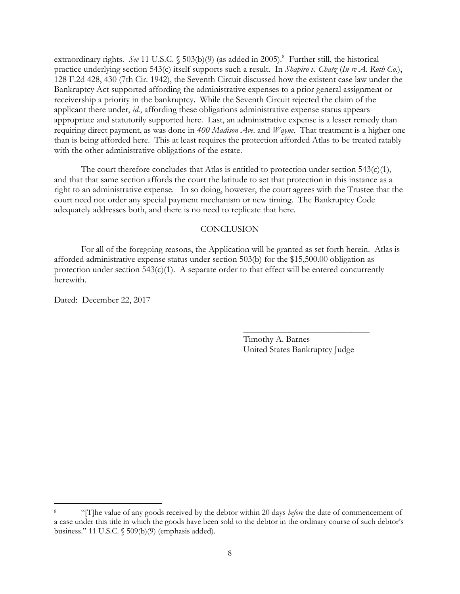extraordinary rights. See 11 U.S.C. § 503(b)(9) (as added in 2005).<sup>8</sup> Further still, the historical practice underlying section 543(c) itself supports such a result. In *Shapiro v. Chatz* (*In re A. Roth Co.*), 128 F.2d 428, 430 (7th Cir. 1942), the Seventh Circuit discussed how the existent case law under the Bankruptcy Act supported affording the administrative expenses to a prior general assignment or receivership a priority in the bankruptcy. While the Seventh Circuit rejected the claim of the applicant there under, *id.*, affording these obligations administrative expense status appears appropriate and statutorily supported here. Last, an administrative expense is a lesser remedy than requiring direct payment, as was done in *400 Madison Ave*. and *Wayne*. That treatment is a higher one than is being afforded here. This at least requires the protection afforded Atlas to be treated ratably with the other administrative obligations of the estate.

The court therefore concludes that Atlas is entitled to protection under section  $543(c)(1)$ , and that that same section affords the court the latitude to set that protection in this instance as a right to an administrative expense. In so doing, however, the court agrees with the Trustee that the court need not order any special payment mechanism or new timing. The Bankruptcy Code adequately addresses both, and there is no need to replicate that here.

#### **CONCLUSION**

For all of the foregoing reasons, the Application will be granted as set forth herein. Atlas is afforded administrative expense status under section 503(b) for the \$15,500.00 obligation as protection under section  $543(c)(1)$ . A separate order to that effect will be entered concurrently herewith.

Dated: December 22, 2017

 $\overline{a}$ 

Timothy A. Barnes United States Bankruptcy Judge

 $\overline{\phantom{a}}$  , where  $\overline{\phantom{a}}$  , where  $\overline{\phantom{a}}$  , where  $\overline{\phantom{a}}$ 

<sup>8</sup> "[T]he value of any goods received by the debtor within 20 days *before* the date of commencement of a case under this title in which the goods have been sold to the debtor in the ordinary course of such debtor's business." 11 U.S.C. § 509(b)(9) (emphasis added).